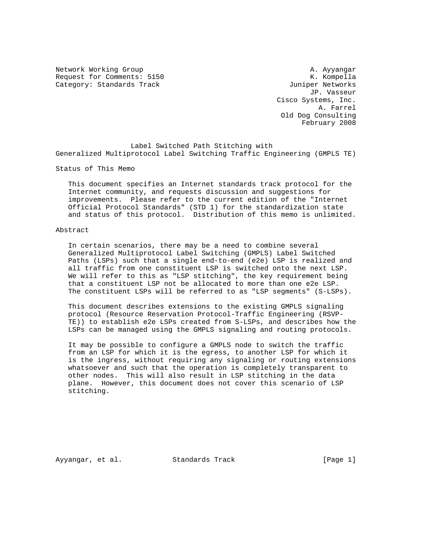Network Working Group and A. Ayyangar A. Ayyangar Request for Comments: 5150 K. Kompella Category: Standards Track and the Category: Standards Track

 JP. Vasseur Cisco Systems, Inc. A. Farrel Old Dog Consulting February 2008

 Label Switched Path Stitching with Generalized Multiprotocol Label Switching Traffic Engineering (GMPLS TE)

Status of This Memo

 This document specifies an Internet standards track protocol for the Internet community, and requests discussion and suggestions for improvements. Please refer to the current edition of the "Internet Official Protocol Standards" (STD 1) for the standardization state and status of this protocol. Distribution of this memo is unlimited.

#### Abstract

 In certain scenarios, there may be a need to combine several Generalized Multiprotocol Label Switching (GMPLS) Label Switched Paths (LSPs) such that a single end-to-end (e2e) LSP is realized and all traffic from one constituent LSP is switched onto the next LSP. We will refer to this as "LSP stitching", the key requirement being that a constituent LSP not be allocated to more than one e2e LSP. The constituent LSPs will be referred to as "LSP segments" (S-LSPs).

 This document describes extensions to the existing GMPLS signaling protocol (Resource Reservation Protocol-Traffic Engineering (RSVP- TE)) to establish e2e LSPs created from S-LSPs, and describes how the LSPs can be managed using the GMPLS signaling and routing protocols.

 It may be possible to configure a GMPLS node to switch the traffic from an LSP for which it is the egress, to another LSP for which it is the ingress, without requiring any signaling or routing extensions whatsoever and such that the operation is completely transparent to other nodes. This will also result in LSP stitching in the data plane. However, this document does not cover this scenario of LSP stitching.

Ayyangar, et al. Standards Track [Page 1]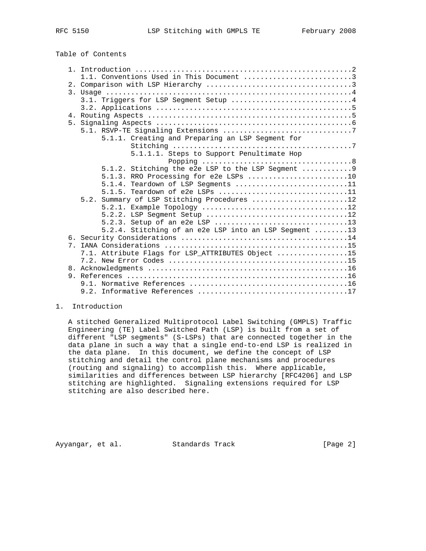Table of Contents

|             | 1.1. Conventions Used in This Document 3              |  |  |  |  |  |
|-------------|-------------------------------------------------------|--|--|--|--|--|
|             |                                                       |  |  |  |  |  |
|             |                                                       |  |  |  |  |  |
|             | 3.1. Triggers for LSP Segment Setup 4                 |  |  |  |  |  |
|             |                                                       |  |  |  |  |  |
|             |                                                       |  |  |  |  |  |
|             |                                                       |  |  |  |  |  |
|             |                                                       |  |  |  |  |  |
|             | 5.1.1. Creating and Preparing an LSP Segment for      |  |  |  |  |  |
|             |                                                       |  |  |  |  |  |
|             | 5.1.1.1. Steps to Support Penultimate Hop             |  |  |  |  |  |
|             |                                                       |  |  |  |  |  |
|             | $5.1.2$ . Stitching the e2e LSP to the LSP Seqment  9 |  |  |  |  |  |
|             | 5.1.3. RRO Processing for e2e LSPs 10                 |  |  |  |  |  |
|             | 5.1.4. Teardown of LSP Seqments 11                    |  |  |  |  |  |
|             | 5.1.5. Teardown of e2e LSPs 11                        |  |  |  |  |  |
|             | 5.2. Summary of LSP Stitching Procedures 12           |  |  |  |  |  |
|             |                                                       |  |  |  |  |  |
|             |                                                       |  |  |  |  |  |
|             |                                                       |  |  |  |  |  |
|             | 5.2.4. Stitching of an e2e LSP into an LSP Segment 13 |  |  |  |  |  |
|             |                                                       |  |  |  |  |  |
| $7^{\circ}$ |                                                       |  |  |  |  |  |
|             | 7.1. Attribute Flags for LSP_ATTRIBUTES Object 15     |  |  |  |  |  |
|             |                                                       |  |  |  |  |  |
|             |                                                       |  |  |  |  |  |
|             |                                                       |  |  |  |  |  |
|             |                                                       |  |  |  |  |  |
|             |                                                       |  |  |  |  |  |

#### 1. Introduction

 A stitched Generalized Multiprotocol Label Switching (GMPLS) Traffic Engineering (TE) Label Switched Path (LSP) is built from a set of different "LSP segments" (S-LSPs) that are connected together in the data plane in such a way that a single end-to-end LSP is realized in the data plane. In this document, we define the concept of LSP stitching and detail the control plane mechanisms and procedures (routing and signaling) to accomplish this. Where applicable, similarities and differences between LSP hierarchy [RFC4206] and LSP stitching are highlighted. Signaling extensions required for LSP stitching are also described here.

Ayyangar, et al. Standards Track [Page 2]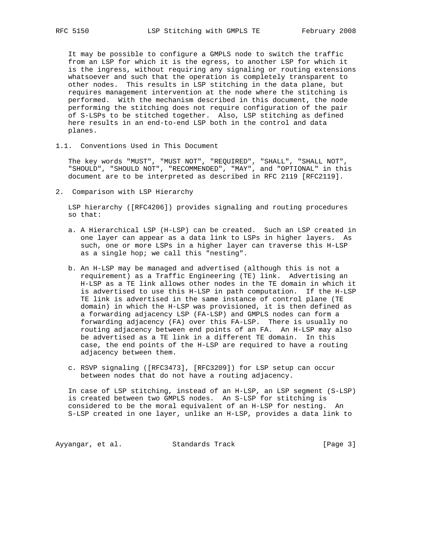It may be possible to configure a GMPLS node to switch the traffic from an LSP for which it is the egress, to another LSP for which it is the ingress, without requiring any signaling or routing extensions whatsoever and such that the operation is completely transparent to other nodes. This results in LSP stitching in the data plane, but requires management intervention at the node where the stitching is performed. With the mechanism described in this document, the node performing the stitching does not require configuration of the pair of S-LSPs to be stitched together. Also, LSP stitching as defined here results in an end-to-end LSP both in the control and data planes.

1.1. Conventions Used in This Document

 The key words "MUST", "MUST NOT", "REQUIRED", "SHALL", "SHALL NOT", "SHOULD", "SHOULD NOT", "RECOMMENDED", "MAY", and "OPTIONAL" in this document are to be interpreted as described in RFC 2119 [RFC2119].

2. Comparison with LSP Hierarchy

 LSP hierarchy ([RFC4206]) provides signaling and routing procedures so that:

- a. A Hierarchical LSP (H-LSP) can be created. Such an LSP created in one layer can appear as a data link to LSPs in higher layers. As such, one or more LSPs in a higher layer can traverse this H-LSP as a single hop; we call this "nesting".
- b. An H-LSP may be managed and advertised (although this is not a requirement) as a Traffic Engineering (TE) link. Advertising an H-LSP as a TE link allows other nodes in the TE domain in which it is advertised to use this H-LSP in path computation. If the H-LSP TE link is advertised in the same instance of control plane (TE domain) in which the H-LSP was provisioned, it is then defined as a forwarding adjacency LSP (FA-LSP) and GMPLS nodes can form a forwarding adjacency (FA) over this FA-LSP. There is usually no routing adjacency between end points of an FA. An H-LSP may also be advertised as a TE link in a different TE domain. In this case, the end points of the H-LSP are required to have a routing adjacency between them.
- c. RSVP signaling ([RFC3473], [RFC3209]) for LSP setup can occur between nodes that do not have a routing adjacency.

 In case of LSP stitching, instead of an H-LSP, an LSP segment (S-LSP) is created between two GMPLS nodes. An S-LSP for stitching is considered to be the moral equivalent of an H-LSP for nesting. An S-LSP created in one layer, unlike an H-LSP, provides a data link to

Ayyangar, et al. Standards Track (Page 3)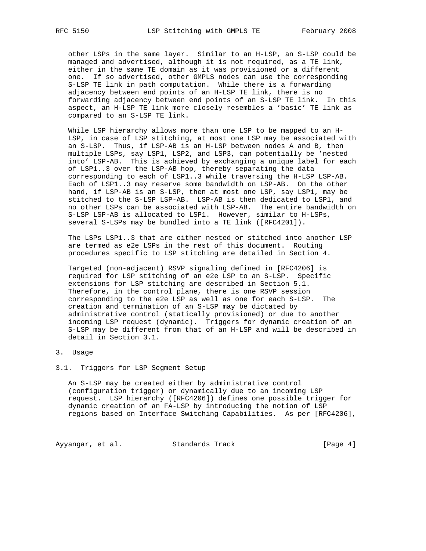other LSPs in the same layer. Similar to an H-LSP, an S-LSP could be managed and advertised, although it is not required, as a TE link, either in the same TE domain as it was provisioned or a different one. If so advertised, other GMPLS nodes can use the corresponding S-LSP TE link in path computation. While there is a forwarding adjacency between end points of an H-LSP TE link, there is no forwarding adjacency between end points of an S-LSP TE link. In this aspect, an H-LSP TE link more closely resembles a 'basic' TE link as compared to an S-LSP TE link.

 While LSP hierarchy allows more than one LSP to be mapped to an H- LSP, in case of LSP stitching, at most one LSP may be associated with an S-LSP. Thus, if LSP-AB is an H-LSP between nodes A and B, then multiple LSPs, say LSP1, LSP2, and LSP3, can potentially be 'nested into' LSP-AB. This is achieved by exchanging a unique label for each of LSP1..3 over the LSP-AB hop, thereby separating the data corresponding to each of LSP1..3 while traversing the H-LSP LSP-AB. Each of LSP1..3 may reserve some bandwidth on LSP-AB. On the other hand, if LSP-AB is an S-LSP, then at most one LSP, say LSP1, may be stitched to the S-LSP LSP-AB. LSP-AB is then dedicated to LSP1, and no other LSPs can be associated with LSP-AB. The entire bandwidth on S-LSP LSP-AB is allocated to LSP1. However, similar to H-LSPs, several S-LSPs may be bundled into a TE link ([RFC4201]).

 The LSPs LSP1..3 that are either nested or stitched into another LSP are termed as e2e LSPs in the rest of this document. Routing procedures specific to LSP stitching are detailed in Section 4.

 Targeted (non-adjacent) RSVP signaling defined in [RFC4206] is required for LSP stitching of an e2e LSP to an S-LSP. Specific extensions for LSP stitching are described in Section 5.1. Therefore, in the control plane, there is one RSVP session corresponding to the e2e LSP as well as one for each S-LSP. The creation and termination of an S-LSP may be dictated by administrative control (statically provisioned) or due to another incoming LSP request (dynamic). Triggers for dynamic creation of an S-LSP may be different from that of an H-LSP and will be described in detail in Section 3.1.

### 3. Usage

### 3.1. Triggers for LSP Segment Setup

 An S-LSP may be created either by administrative control (configuration trigger) or dynamically due to an incoming LSP request. LSP hierarchy ([RFC4206]) defines one possible trigger for dynamic creation of an FA-LSP by introducing the notion of LSP regions based on Interface Switching Capabilities. As per [RFC4206],

Ayyangar, et al. Standards Track (Page 4)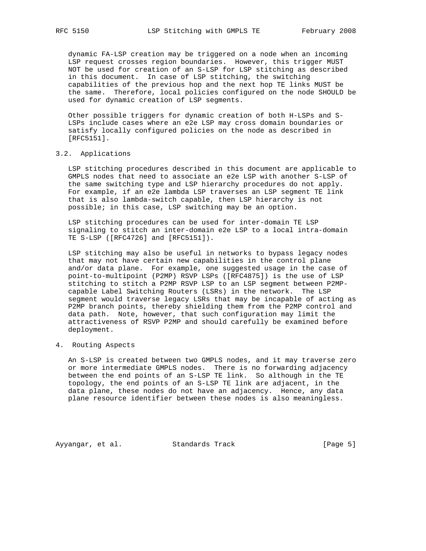dynamic FA-LSP creation may be triggered on a node when an incoming LSP request crosses region boundaries. However, this trigger MUST NOT be used for creation of an S-LSP for LSP stitching as described in this document. In case of LSP stitching, the switching capabilities of the previous hop and the next hop TE links MUST be the same. Therefore, local policies configured on the node SHOULD be used for dynamic creation of LSP segments.

 Other possible triggers for dynamic creation of both H-LSPs and S- LSPs include cases where an e2e LSP may cross domain boundaries or satisfy locally configured policies on the node as described in [RFC5151].

# 3.2. Applications

 LSP stitching procedures described in this document are applicable to GMPLS nodes that need to associate an e2e LSP with another S-LSP of the same switching type and LSP hierarchy procedures do not apply. For example, if an e2e lambda LSP traverses an LSP segment TE link that is also lambda-switch capable, then LSP hierarchy is not possible; in this case, LSP switching may be an option.

 LSP stitching procedures can be used for inter-domain TE LSP signaling to stitch an inter-domain e2e LSP to a local intra-domain TE S-LSP ([RFC4726] and [RFC5151]).

 LSP stitching may also be useful in networks to bypass legacy nodes that may not have certain new capabilities in the control plane and/or data plane. For example, one suggested usage in the case of point-to-multipoint (P2MP) RSVP LSPs ([RFC4875]) is the use of LSP stitching to stitch a P2MP RSVP LSP to an LSP segment between P2MP capable Label Switching Routers (LSRs) in the network. The LSP segment would traverse legacy LSRs that may be incapable of acting as P2MP branch points, thereby shielding them from the P2MP control and data path. Note, however, that such configuration may limit the attractiveness of RSVP P2MP and should carefully be examined before deployment.

# 4. Routing Aspects

 An S-LSP is created between two GMPLS nodes, and it may traverse zero or more intermediate GMPLS nodes. There is no forwarding adjacency between the end points of an S-LSP TE link. So although in the TE topology, the end points of an S-LSP TE link are adjacent, in the data plane, these nodes do not have an adjacency. Hence, any data plane resource identifier between these nodes is also meaningless.

Ayyangar, et al. Standards Track [Page 5]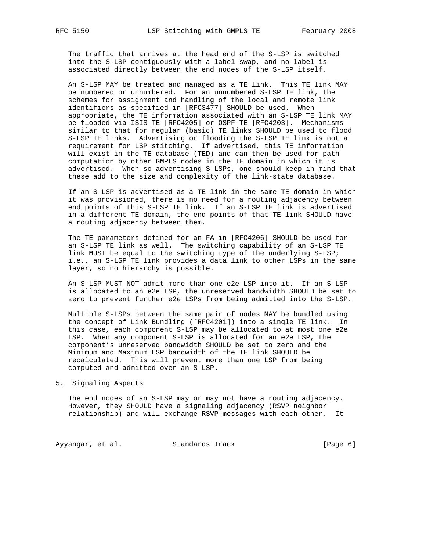The traffic that arrives at the head end of the S-LSP is switched into the S-LSP contiguously with a label swap, and no label is associated directly between the end nodes of the S-LSP itself.

 An S-LSP MAY be treated and managed as a TE link. This TE link MAY be numbered or unnumbered. For an unnumbered S-LSP TE link, the schemes for assignment and handling of the local and remote link identifiers as specified in [RFC3477] SHOULD be used. When appropriate, the TE information associated with an S-LSP TE link MAY be flooded via ISIS-TE [RFC4205] or OSPF-TE [RFC4203]. Mechanisms similar to that for regular (basic) TE links SHOULD be used to flood S-LSP TE links. Advertising or flooding the S-LSP TE link is not a requirement for LSP stitching. If advertised, this TE information will exist in the TE database (TED) and can then be used for path computation by other GMPLS nodes in the TE domain in which it is advertised. When so advertising S-LSPs, one should keep in mind that these add to the size and complexity of the link-state database.

 If an S-LSP is advertised as a TE link in the same TE domain in which it was provisioned, there is no need for a routing adjacency between end points of this S-LSP TE link. If an S-LSP TE link is advertised in a different TE domain, the end points of that TE link SHOULD have a routing adjacency between them.

 The TE parameters defined for an FA in [RFC4206] SHOULD be used for an S-LSP TE link as well. The switching capability of an S-LSP TE link MUST be equal to the switching type of the underlying S-LSP; i.e., an S-LSP TE link provides a data link to other LSPs in the same layer, so no hierarchy is possible.

 An S-LSP MUST NOT admit more than one e2e LSP into it. If an S-LSP is allocated to an e2e LSP, the unreserved bandwidth SHOULD be set to zero to prevent further e2e LSPs from being admitted into the S-LSP.

 Multiple S-LSPs between the same pair of nodes MAY be bundled using the concept of Link Bundling ([RFC4201]) into a single TE link. In this case, each component S-LSP may be allocated to at most one e2e LSP. When any component S-LSP is allocated for an e2e LSP, the component's unreserved bandwidth SHOULD be set to zero and the Minimum and Maximum LSP bandwidth of the TE link SHOULD be recalculated. This will prevent more than one LSP from being computed and admitted over an S-LSP.

5. Signaling Aspects

 The end nodes of an S-LSP may or may not have a routing adjacency. However, they SHOULD have a signaling adjacency (RSVP neighbor relationship) and will exchange RSVP messages with each other. It

Ayyangar, et al. Standards Track [Page 6]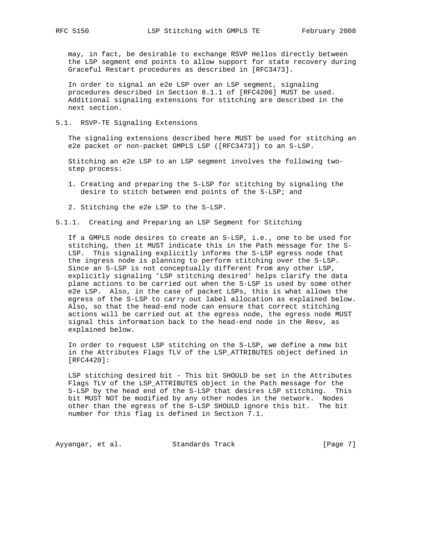may, in fact, be desirable to exchange RSVP Hellos directly between the LSP segment end points to allow support for state recovery during Graceful Restart procedures as described in [RFC3473].

 In order to signal an e2e LSP over an LSP segment, signaling procedures described in Section 8.1.1 of [RFC4206] MUST be used. Additional signaling extensions for stitching are described in the next section.

5.1. RSVP-TE Signaling Extensions

 The signaling extensions described here MUST be used for stitching an e2e packet or non-packet GMPLS LSP ([RFC3473]) to an S-LSP.

 Stitching an e2e LSP to an LSP segment involves the following two step process:

- 1. Creating and preparing the S-LSP for stitching by signaling the desire to stitch between end points of the S-LSP; and
- 2. Stitching the e2e LSP to the S-LSP.
- 5.1.1. Creating and Preparing an LSP Segment for Stitching

 If a GMPLS node desires to create an S-LSP, i.e., one to be used for stitching, then it MUST indicate this in the Path message for the S- LSP. This signaling explicitly informs the S-LSP egress node that the ingress node is planning to perform stitching over the S-LSP. Since an S-LSP is not conceptually different from any other LSP, explicitly signaling 'LSP stitching desired' helps clarify the data plane actions to be carried out when the S-LSP is used by some other e2e LSP. Also, in the case of packet LSPs, this is what allows the egress of the S-LSP to carry out label allocation as explained below. Also, so that the head-end node can ensure that correct stitching actions will be carried out at the egress node, the egress node MUST signal this information back to the head-end node in the Resv, as explained below.

 In order to request LSP stitching on the S-LSP, we define a new bit in the Attributes Flags TLV of the LSP\_ATTRIBUTES object defined in [RFC4420]:

 LSP stitching desired bit - This bit SHOULD be set in the Attributes Flags TLV of the LSP\_ATTRIBUTES object in the Path message for the S-LSP by the head end of the S-LSP that desires LSP stitching. This bit MUST NOT be modified by any other nodes in the network. Nodes other than the egress of the S-LSP SHOULD ignore this bit. The bit number for this flag is defined in Section 7.1.

Ayyangar, et al. Standards Track (Page 7)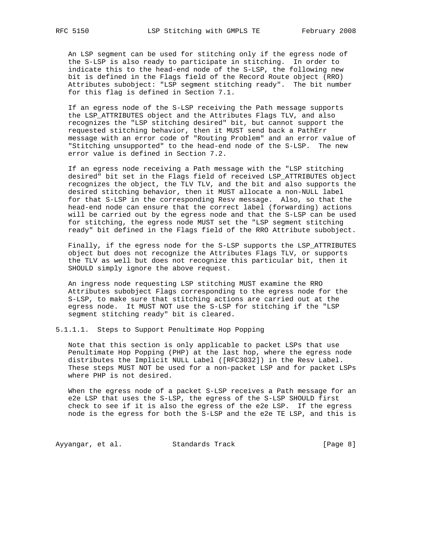An LSP segment can be used for stitching only if the egress node of the S-LSP is also ready to participate in stitching. In order to indicate this to the head-end node of the S-LSP, the following new bit is defined in the Flags field of the Record Route object (RRO) Attributes subobject: "LSP segment stitching ready". The bit number for this flag is defined in Section 7.1.

 If an egress node of the S-LSP receiving the Path message supports the LSP\_ATTRIBUTES object and the Attributes Flags TLV, and also recognizes the "LSP stitching desired" bit, but cannot support the requested stitching behavior, then it MUST send back a PathErr message with an error code of "Routing Problem" and an error value of "Stitching unsupported" to the head-end node of the S-LSP. The new error value is defined in Section 7.2.

 If an egress node receiving a Path message with the "LSP stitching desired" bit set in the Flags field of received LSP\_ATTRIBUTES object recognizes the object, the TLV TLV, and the bit and also supports the desired stitching behavior, then it MUST allocate a non-NULL label for that S-LSP in the corresponding Resv message. Also, so that the head-end node can ensure that the correct label (forwarding) actions will be carried out by the egress node and that the S-LSP can be used for stitching, the egress node MUST set the "LSP segment stitching ready" bit defined in the Flags field of the RRO Attribute subobject.

 Finally, if the egress node for the S-LSP supports the LSP\_ATTRIBUTES object but does not recognize the Attributes Flags TLV, or supports the TLV as well but does not recognize this particular bit, then it SHOULD simply ignore the above request.

 An ingress node requesting LSP stitching MUST examine the RRO Attributes subobject Flags corresponding to the egress node for the S-LSP, to make sure that stitching actions are carried out at the egress node. It MUST NOT use the S-LSP for stitching if the "LSP segment stitching ready" bit is cleared.

5.1.1.1. Steps to Support Penultimate Hop Popping

 Note that this section is only applicable to packet LSPs that use Penultimate Hop Popping (PHP) at the last hop, where the egress node distributes the Implicit NULL Label ([RFC3032]) in the Resv Label. These steps MUST NOT be used for a non-packet LSP and for packet LSPs where PHP is not desired.

 When the egress node of a packet S-LSP receives a Path message for an e2e LSP that uses the S-LSP, the egress of the S-LSP SHOULD first check to see if it is also the egress of the e2e LSP. If the egress node is the egress for both the S-LSP and the e2e TE LSP, and this is

Ayyangar, et al. Standards Track [Page 8]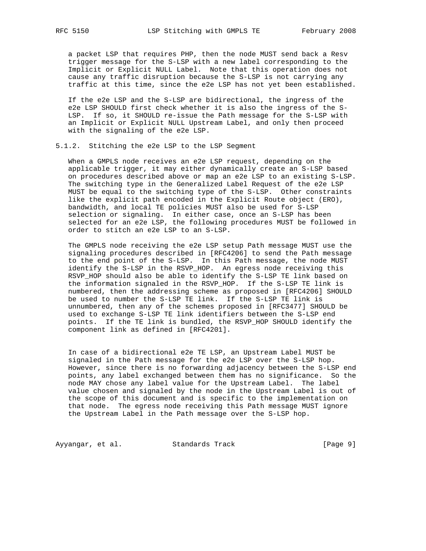a packet LSP that requires PHP, then the node MUST send back a Resv trigger message for the S-LSP with a new label corresponding to the Implicit or Explicit NULL Label. Note that this operation does not cause any traffic disruption because the S-LSP is not carrying any traffic at this time, since the e2e LSP has not yet been established.

 If the e2e LSP and the S-LSP are bidirectional, the ingress of the e2e LSP SHOULD first check whether it is also the ingress of the S- LSP. If so, it SHOULD re-issue the Path message for the S-LSP with an Implicit or Explicit NULL Upstream Label, and only then proceed with the signaling of the e2e LSP.

# 5.1.2. Stitching the e2e LSP to the LSP Segment

 When a GMPLS node receives an e2e LSP request, depending on the applicable trigger, it may either dynamically create an S-LSP based on procedures described above or map an e2e LSP to an existing S-LSP. The switching type in the Generalized Label Request of the e2e LSP MUST be equal to the switching type of the S-LSP. Other constraints like the explicit path encoded in the Explicit Route object (ERO), bandwidth, and local TE policies MUST also be used for S-LSP selection or signaling. In either case, once an S-LSP has been selected for an e2e LSP, the following procedures MUST be followed in order to stitch an e2e LSP to an S-LSP.

 The GMPLS node receiving the e2e LSP setup Path message MUST use the signaling procedures described in [RFC4206] to send the Path message to the end point of the S-LSP. In this Path message, the node MUST identify the S-LSP in the RSVP\_HOP. An egress node receiving this RSVP\_HOP should also be able to identify the S-LSP TE link based on the information signaled in the RSVP\_HOP. If the S-LSP TE link is numbered, then the addressing scheme as proposed in [RFC4206] SHOULD be used to number the S-LSP TE link. If the S-LSP TE link is unnumbered, then any of the schemes proposed in [RFC3477] SHOULD be used to exchange S-LSP TE link identifiers between the S-LSP end points. If the TE link is bundled, the RSVP\_HOP SHOULD identify the component link as defined in [RFC4201].

 In case of a bidirectional e2e TE LSP, an Upstream Label MUST be signaled in the Path message for the e2e LSP over the S-LSP hop. However, since there is no forwarding adjacency between the S-LSP end points, any label exchanged between them has no significance. So the node MAY chose any label value for the Upstream Label. The label value chosen and signaled by the node in the Upstream Label is out of the scope of this document and is specific to the implementation on that node. The egress node receiving this Path message MUST ignore the Upstream Label in the Path message over the S-LSP hop.

Ayyangar, et al. Standards Track (Page 9)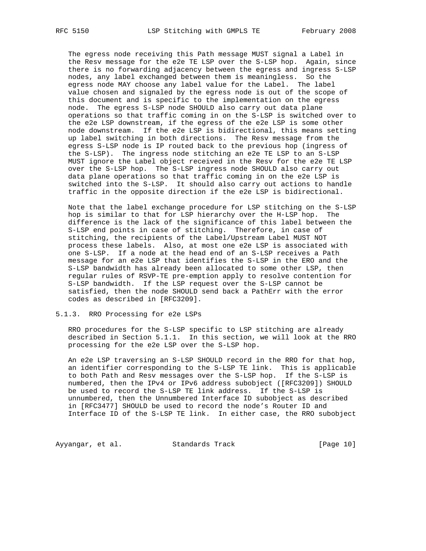The egress node receiving this Path message MUST signal a Label in the Resv message for the e2e TE LSP over the S-LSP hop. Again, since there is no forwarding adjacency between the egress and ingress S-LSP nodes, any label exchanged between them is meaningless. So the egress node MAY choose any label value for the Label. The label value chosen and signaled by the egress node is out of the scope of this document and is specific to the implementation on the egress node. The egress S-LSP node SHOULD also carry out data plane operations so that traffic coming in on the S-LSP is switched over to the e2e LSP downstream, if the egress of the e2e LSP is some other node downstream. If the e2e LSP is bidirectional, this means setting up label switching in both directions. The Resv message from the egress S-LSP node is IP routed back to the previous hop (ingress of the S-LSP). The ingress node stitching an e2e TE LSP to an S-LSP MUST ignore the Label object received in the Resv for the e2e TE LSP over the S-LSP hop. The S-LSP ingress node SHOULD also carry out data plane operations so that traffic coming in on the e2e LSP is switched into the S-LSP. It should also carry out actions to handle traffic in the opposite direction if the e2e LSP is bidirectional.

 Note that the label exchange procedure for LSP stitching on the S-LSP hop is similar to that for LSP hierarchy over the H-LSP hop. The difference is the lack of the significance of this label between the S-LSP end points in case of stitching. Therefore, in case of stitching, the recipients of the Label/Upstream Label MUST NOT process these labels. Also, at most one e2e LSP is associated with one S-LSP. If a node at the head end of an S-LSP receives a Path message for an e2e LSP that identifies the S-LSP in the ERO and the S-LSP bandwidth has already been allocated to some other LSP, then regular rules of RSVP-TE pre-emption apply to resolve contention for S-LSP bandwidth. If the LSP request over the S-LSP cannot be satisfied, then the node SHOULD send back a PathErr with the error codes as described in [RFC3209].

#### 5.1.3. RRO Processing for e2e LSPs

 RRO procedures for the S-LSP specific to LSP stitching are already described in Section 5.1.1. In this section, we will look at the RRO processing for the e2e LSP over the S-LSP hop.

 An e2e LSP traversing an S-LSP SHOULD record in the RRO for that hop, an identifier corresponding to the S-LSP TE link. This is applicable to both Path and Resv messages over the S-LSP hop. If the S-LSP is numbered, then the IPv4 or IPv6 address subobject ([RFC3209]) SHOULD be used to record the S-LSP TE link address. If the S-LSP is unnumbered, then the Unnumbered Interface ID subobject as described in [RFC3477] SHOULD be used to record the node's Router ID and Interface ID of the S-LSP TE link. In either case, the RRO subobject

Ayyangar, et al. Standards Track [Page 10]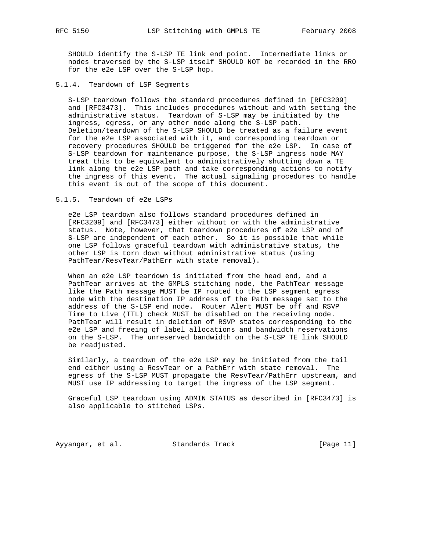SHOULD identify the S-LSP TE link end point. Intermediate links or nodes traversed by the S-LSP itself SHOULD NOT be recorded in the RRO for the e2e LSP over the S-LSP hop.

### 5.1.4. Teardown of LSP Segments

 S-LSP teardown follows the standard procedures defined in [RFC3209] and [RFC3473]. This includes procedures without and with setting the administrative status. Teardown of S-LSP may be initiated by the ingress, egress, or any other node along the S-LSP path. Deletion/teardown of the S-LSP SHOULD be treated as a failure event for the e2e LSP associated with it, and corresponding teardown or recovery procedures SHOULD be triggered for the e2e LSP. In case of S-LSP teardown for maintenance purpose, the S-LSP ingress node MAY treat this to be equivalent to administratively shutting down a TE link along the e2e LSP path and take corresponding actions to notify the ingress of this event. The actual signaling procedures to handle this event is out of the scope of this document.

5.1.5. Teardown of e2e LSPs

 e2e LSP teardown also follows standard procedures defined in [RFC3209] and [RFC3473] either without or with the administrative status. Note, however, that teardown procedures of e2e LSP and of S-LSP are independent of each other. So it is possible that while one LSP follows graceful teardown with administrative status, the other LSP is torn down without administrative status (using PathTear/ResvTear/PathErr with state removal).

 When an e2e LSP teardown is initiated from the head end, and a PathTear arrives at the GMPLS stitching node, the PathTear message like the Path message MUST be IP routed to the LSP segment egress node with the destination IP address of the Path message set to the address of the S-LSP end node. Router Alert MUST be off and RSVP Time to Live (TTL) check MUST be disabled on the receiving node. PathTear will result in deletion of RSVP states corresponding to the e2e LSP and freeing of label allocations and bandwidth reservations on the S-LSP. The unreserved bandwidth on the S-LSP TE link SHOULD be readjusted.

 Similarly, a teardown of the e2e LSP may be initiated from the tail end either using a ResvTear or a PathErr with state removal. The egress of the S-LSP MUST propagate the ResvTear/PathErr upstream, and MUST use IP addressing to target the ingress of the LSP segment.

 Graceful LSP teardown using ADMIN\_STATUS as described in [RFC3473] is also applicable to stitched LSPs.

Ayyangar, et al. Standards Track [Page 11]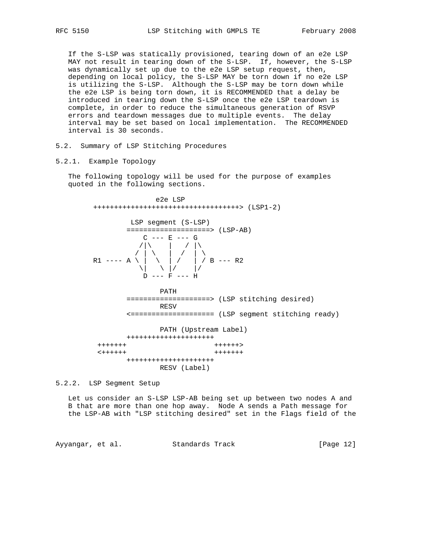If the S-LSP was statically provisioned, tearing down of an e2e LSP MAY not result in tearing down of the S-LSP. If, however, the S-LSP was dynamically set up due to the e2e LSP setup request, then, depending on local policy, the S-LSP MAY be torn down if no e2e LSP is utilizing the S-LSP. Although the S-LSP may be torn down while the e2e LSP is being torn down, it is RECOMMENDED that a delay be introduced in tearing down the S-LSP once the e2e LSP teardown is complete, in order to reduce the simultaneous generation of RSVP errors and teardown messages due to multiple events. The delay interval may be set based on local implementation. The RECOMMENDED interval is 30 seconds.

# 5.2. Summary of LSP Stitching Procedures

### 5.2.1. Example Topology

 The following topology will be used for the purpose of examples quoted in the following sections.

 e2e LSP +++++++++++++++++++++++++++++++++++> (LSP1-2) LSP segment (S-LSP) ====================> (LSP-AB)<br>C --- E --- G  $C \ \ --- \ E \ \ --- \ G$  $\sqrt{|\n\chi|}$  /  $\sqrt{|\n\chi|}$  $\frac{1}{2}$  / | \ | / | \ R1 ---- A \ | \ | / | / B --- R2  $\| \setminus \|$   $\| \setminus \|$ /  $\|$ /  $D$  ---  $F$  ---  $H$  PATH ====================> (LSP stitching desired) RESV <==================== (LSP segment stitching ready) PATH (Upstream Label) +++++++++++++++++++++ +++++++ ++++++> <++++++ +++++++ +++++++++++++++++++++ RESV (Label)

5.2.2. LSP Segment Setup

 Let us consider an S-LSP LSP-AB being set up between two nodes A and B that are more than one hop away. Node A sends a Path message for the LSP-AB with "LSP stitching desired" set in the Flags field of the

Ayyangar, et al. Standards Track [Page 12]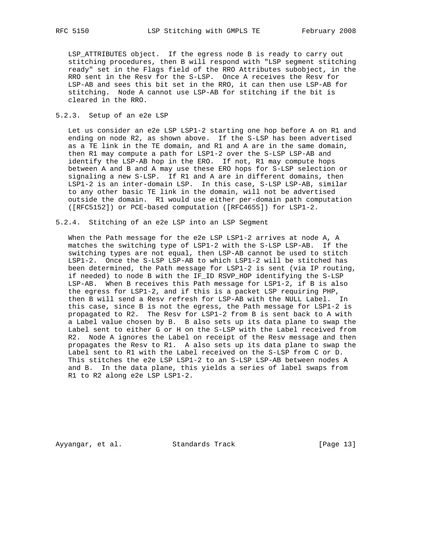LSP\_ATTRIBUTES object. If the egress node B is ready to carry out stitching procedures, then B will respond with "LSP segment stitching ready" set in the Flags field of the RRO Attributes subobject, in the RRO sent in the Resv for the S-LSP. Once A receives the Resv for LSP-AB and sees this bit set in the RRO, it can then use LSP-AB for stitching. Node A cannot use LSP-AB for stitching if the bit is cleared in the RRO.

## 5.2.3. Setup of an e2e LSP

 Let us consider an e2e LSP LSP1-2 starting one hop before A on R1 and ending on node R2, as shown above. If the S-LSP has been advertised as a TE link in the TE domain, and R1 and A are in the same domain, then R1 may compute a path for LSP1-2 over the S-LSP LSP-AB and identify the LSP-AB hop in the ERO. If not, R1 may compute hops between A and B and A may use these ERO hops for S-LSP selection or signaling a new S-LSP. If R1 and A are in different domains, then LSP1-2 is an inter-domain LSP. In this case, S-LSP LSP-AB, similar to any other basic TE link in the domain, will not be advertised outside the domain. R1 would use either per-domain path computation ([RFC5152]) or PCE-based computation ([RFC4655]) for LSP1-2.

#### 5.2.4. Stitching of an e2e LSP into an LSP Segment

 When the Path message for the e2e LSP LSP1-2 arrives at node A, A matches the switching type of LSP1-2 with the S-LSP LSP-AB. If the switching types are not equal, then LSP-AB cannot be used to stitch LSP1-2. Once the S-LSP LSP-AB to which LSP1-2 will be stitched has been determined, the Path message for LSP1-2 is sent (via IP routing, if needed) to node B with the IF\_ID RSVP\_HOP identifying the S-LSP LSP-AB. When B receives this Path message for LSP1-2, if B is also the egress for LSP1-2, and if this is a packet LSP requiring PHP, then B will send a Resv refresh for LSP-AB with the NULL Label. In this case, since B is not the egress, the Path message for LSP1-2 is propagated to R2. The Resv for LSP1-2 from B is sent back to A with a Label value chosen by B. B also sets up its data plane to swap the Label sent to either G or H on the S-LSP with the Label received from R2. Node A ignores the Label on receipt of the Resv message and then propagates the Resv to R1. A also sets up its data plane to swap the Label sent to R1 with the Label received on the S-LSP from C or D. This stitches the e2e LSP LSP1-2 to an S-LSP LSP-AB between nodes A and B. In the data plane, this yields a series of label swaps from R1 to R2 along e2e LSP LSP1-2.

Ayyangar, et al. Standards Track [Page 13]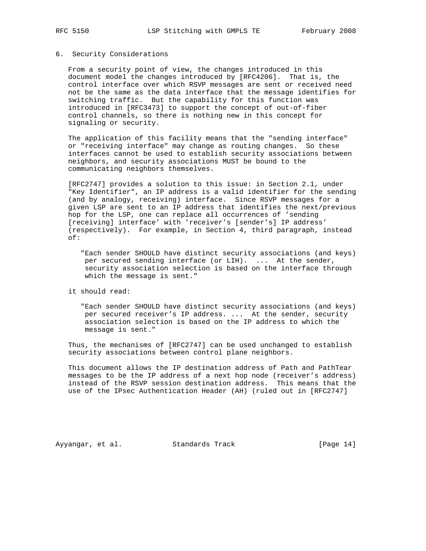#### 6. Security Considerations

 From a security point of view, the changes introduced in this document model the changes introduced by [RFC4206]. That is, the control interface over which RSVP messages are sent or received need not be the same as the data interface that the message identifies for switching traffic. But the capability for this function was introduced in [RFC3473] to support the concept of out-of-fiber control channels, so there is nothing new in this concept for signaling or security.

 The application of this facility means that the "sending interface" or "receiving interface" may change as routing changes. So these interfaces cannot be used to establish security associations between neighbors, and security associations MUST be bound to the communicating neighbors themselves.

 [RFC2747] provides a solution to this issue: in Section 2.1, under "Key Identifier", an IP address is a valid identifier for the sending (and by analogy, receiving) interface. Since RSVP messages for a given LSP are sent to an IP address that identifies the next/previous hop for the LSP, one can replace all occurrences of 'sending [receiving] interface' with 'receiver's [sender's] IP address' (respectively). For example, in Section 4, third paragraph, instead of:

 "Each sender SHOULD have distinct security associations (and keys) per secured sending interface (or LIH). ... At the sender, security association selection is based on the interface through which the message is sent."

it should read:

 "Each sender SHOULD have distinct security associations (and keys) per secured receiver's IP address. ... At the sender, security association selection is based on the IP address to which the message is sent."

 Thus, the mechanisms of [RFC2747] can be used unchanged to establish security associations between control plane neighbors.

 This document allows the IP destination address of Path and PathTear messages to be the IP address of a next hop node (receiver's address) instead of the RSVP session destination address. This means that the use of the IPsec Authentication Header (AH) (ruled out in [RFC2747]

Ayyangar, et al. Standards Track [Page 14]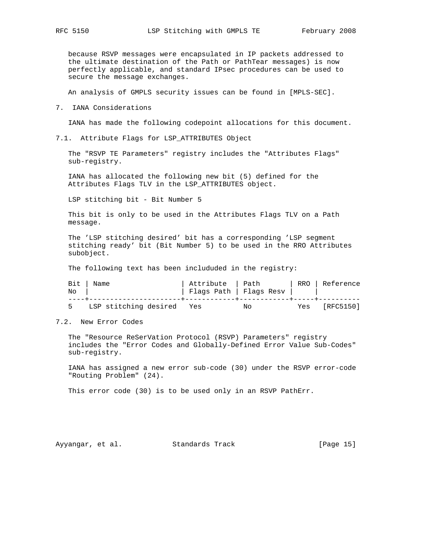because RSVP messages were encapsulated in IP packets addressed to the ultimate destination of the Path or PathTear messages) is now perfectly applicable, and standard IPsec procedures can be used to secure the message exchanges.

An analysis of GMPLS security issues can be found in [MPLS-SEC].

7. IANA Considerations

IANA has made the following codepoint allocations for this document.

7.1. Attribute Flags for LSP\_ATTRIBUTES Object

 The "RSVP TE Parameters" registry includes the "Attributes Flags" sub-registry.

 IANA has allocated the following new bit (5) defined for the Attributes Flags TLV in the LSP\_ATTRIBUTES object.

LSP stitching bit - Bit Number 5

 This bit is only to be used in the Attributes Flags TLV on a Path message.

 The 'LSP stitching desired' bit has a corresponding 'LSP segment stitching ready' bit (Bit Number 5) to be used in the RRO Attributes subobject.

The following text has been includuded in the registry:

|    | Bit   Name                | Attribute   Path |                         |     | RRO   Reference |
|----|---------------------------|------------------|-------------------------|-----|-----------------|
| No |                           |                  | Flags Path   Flags Resv |     |                 |
|    | LSP stitching desired Yes |                  | Νo                      | Yes | [RFC5150]       |

7.2. New Error Codes

 The "Resource ReSerVation Protocol (RSVP) Parameters" registry includes the "Error Codes and Globally-Defined Error Value Sub-Codes" sub-registry.

 IANA has assigned a new error sub-code (30) under the RSVP error-code "Routing Problem" (24).

This error code (30) is to be used only in an RSVP PathErr.

Ayyangar, et al. Standards Track [Page 15]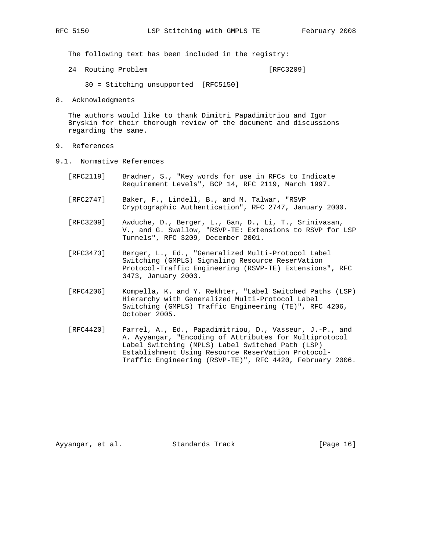The following text has been included in the registry:

24 Routing Problem [RFC3209]

- 30 = Stitching unsupported [RFC5150]
- 8. Acknowledgments

 The authors would like to thank Dimitri Papadimitriou and Igor Bryskin for their thorough review of the document and discussions regarding the same.

- 9. References
- 9.1. Normative References
	- [RFC2119] Bradner, S., "Key words for use in RFCs to Indicate Requirement Levels", BCP 14, RFC 2119, March 1997.
	- [RFC2747] Baker, F., Lindell, B., and M. Talwar, "RSVP Cryptographic Authentication", RFC 2747, January 2000.
	- [RFC3209] Awduche, D., Berger, L., Gan, D., Li, T., Srinivasan, V., and G. Swallow, "RSVP-TE: Extensions to RSVP for LSP Tunnels", RFC 3209, December 2001.
	- [RFC3473] Berger, L., Ed., "Generalized Multi-Protocol Label Switching (GMPLS) Signaling Resource ReserVation Protocol-Traffic Engineering (RSVP-TE) Extensions", RFC 3473, January 2003.
	- [RFC4206] Kompella, K. and Y. Rekhter, "Label Switched Paths (LSP) Hierarchy with Generalized Multi-Protocol Label Switching (GMPLS) Traffic Engineering (TE)", RFC 4206, October 2005.
	- [RFC4420] Farrel, A., Ed., Papadimitriou, D., Vasseur, J.-P., and A. Ayyangar, "Encoding of Attributes for Multiprotocol Label Switching (MPLS) Label Switched Path (LSP) Establishment Using Resource ReserVation Protocol- Traffic Engineering (RSVP-TE)", RFC 4420, February 2006.

Ayyangar, et al. Standards Track [Page 16]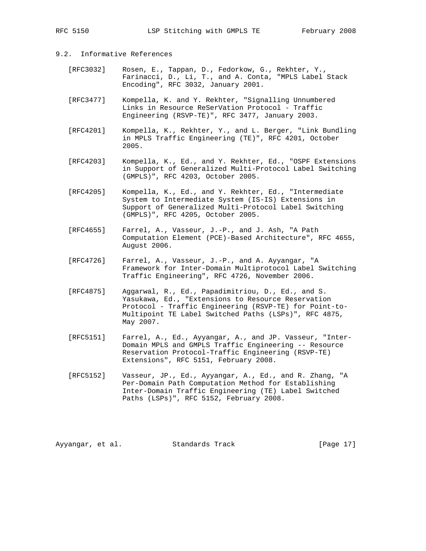# 9.2. Informative References

- [RFC3032] Rosen, E., Tappan, D., Fedorkow, G., Rekhter, Y., Farinacci, D., Li, T., and A. Conta, "MPLS Label Stack Encoding", RFC 3032, January 2001.
- [RFC3477] Kompella, K. and Y. Rekhter, "Signalling Unnumbered Links in Resource ReSerVation Protocol - Traffic Engineering (RSVP-TE)", RFC 3477, January 2003.
- [RFC4201] Kompella, K., Rekhter, Y., and L. Berger, "Link Bundling in MPLS Traffic Engineering (TE)", RFC 4201, October 2005.
- [RFC4203] Kompella, K., Ed., and Y. Rekhter, Ed., "OSPF Extensions in Support of Generalized Multi-Protocol Label Switching (GMPLS)", RFC 4203, October 2005.
- [RFC4205] Kompella, K., Ed., and Y. Rekhter, Ed., "Intermediate System to Intermediate System (IS-IS) Extensions in Support of Generalized Multi-Protocol Label Switching (GMPLS)", RFC 4205, October 2005.
- [RFC4655] Farrel, A., Vasseur, J.-P., and J. Ash, "A Path Computation Element (PCE)-Based Architecture", RFC 4655, August 2006.
- [RFC4726] Farrel, A., Vasseur, J.-P., and A. Ayyangar, "A Framework for Inter-Domain Multiprotocol Label Switching Traffic Engineering", RFC 4726, November 2006.
- [RFC4875] Aggarwal, R., Ed., Papadimitriou, D., Ed., and S. Yasukawa, Ed., "Extensions to Resource Reservation Protocol - Traffic Engineering (RSVP-TE) for Point-to- Multipoint TE Label Switched Paths (LSPs)", RFC 4875, May 2007.
- [RFC5151] Farrel, A., Ed., Ayyangar, A., and JP. Vasseur, "Inter- Domain MPLS and GMPLS Traffic Engineering -- Resource Reservation Protocol-Traffic Engineering (RSVP-TE) Extensions", RFC 5151, February 2008.
- [RFC5152] Vasseur, JP., Ed., Ayyangar, A., Ed., and R. Zhang, "A Per-Domain Path Computation Method for Establishing Inter-Domain Traffic Engineering (TE) Label Switched Paths (LSPs)", RFC 5152, February 2008.

Ayyangar, et al. Standards Track [Page 17]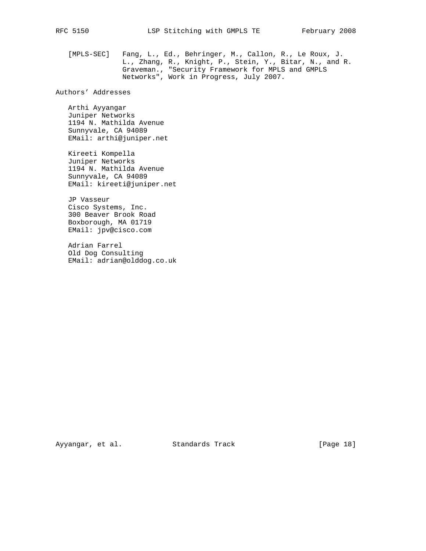[MPLS-SEC] Fang, L., Ed., Behringer, M., Callon, R., Le Roux, J. L., Zhang, R., Knight, P., Stein, Y., Bitar, N., and R. Graveman., "Security Framework for MPLS and GMPLS Networks", Work in Progress, July 2007.

Authors' Addresses

 Arthi Ayyangar Juniper Networks 1194 N. Mathilda Avenue Sunnyvale, CA 94089 EMail: arthi@juniper.net

 Kireeti Kompella Juniper Networks 1194 N. Mathilda Avenue Sunnyvale, CA 94089 EMail: kireeti@juniper.net

 JP Vasseur Cisco Systems, Inc. 300 Beaver Brook Road Boxborough, MA 01719 EMail: jpv@cisco.com

 Adrian Farrel Old Dog Consulting EMail: adrian@olddog.co.uk

Ayyangar, et al. Standards Track [Page 18]